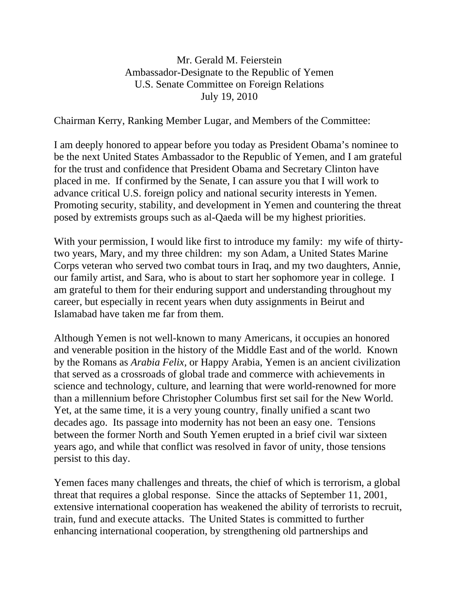## Mr. Gerald M. Feierstein Ambassador-Designate to the Republic of Yemen U.S. Senate Committee on Foreign Relations July 19, 2010

Chairman Kerry, Ranking Member Lugar, and Members of the Committee:

I am deeply honored to appear before you today as President Obama's nominee to be the next United States Ambassador to the Republic of Yemen, and I am grateful for the trust and confidence that President Obama and Secretary Clinton have placed in me. If confirmed by the Senate, I can assure you that I will work to advance critical U.S. foreign policy and national security interests in Yemen. Promoting security, stability, and development in Yemen and countering the threat posed by extremists groups such as al-Qaeda will be my highest priorities.

With your permission, I would like first to introduce my family: my wife of thirtytwo years, Mary, and my three children: my son Adam, a United States Marine Corps veteran who served two combat tours in Iraq, and my two daughters, Annie, our family artist, and Sara, who is about to start her sophomore year in college. I am grateful to them for their enduring support and understanding throughout my career, but especially in recent years when duty assignments in Beirut and Islamabad have taken me far from them.

Although Yemen is not well-known to many Americans, it occupies an honored and venerable position in the history of the Middle East and of the world. Known by the Romans as *Arabia Felix,* or Happy Arabia, Yemen is an ancient civilization that served as a crossroads of global trade and commerce with achievements in science and technology, culture, and learning that were world-renowned for more than a millennium before Christopher Columbus first set sail for the New World. Yet, at the same time, it is a very young country, finally unified a scant two decades ago. Its passage into modernity has not been an easy one. Tensions between the former North and South Yemen erupted in a brief civil war sixteen years ago, and while that conflict was resolved in favor of unity, those tensions persist to this day.

Yemen faces many challenges and threats, the chief of which is terrorism, a global threat that requires a global response. Since the attacks of September 11, 2001, extensive international cooperation has weakened the ability of terrorists to recruit, train, fund and execute attacks. The United States is committed to further enhancing international cooperation, by strengthening old partnerships and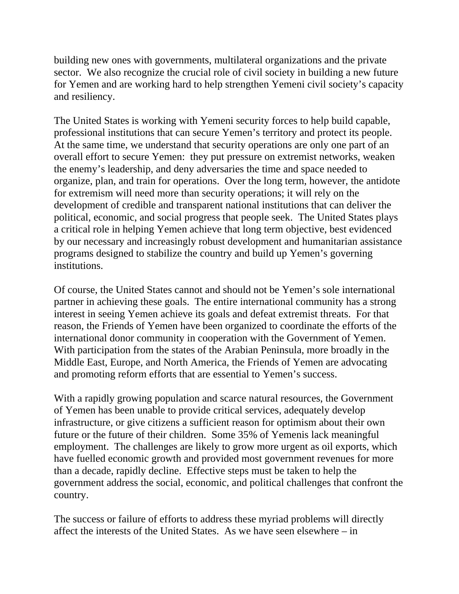building new ones with governments, multilateral organizations and the private sector. We also recognize the crucial role of civil society in building a new future for Yemen and are working hard to help strengthen Yemeni civil society's capacity and resiliency.

The United States is working with Yemeni security forces to help build capable, professional institutions that can secure Yemen's territory and protect its people. At the same time, we understand that security operations are only one part of an overall effort to secure Yemen: they put pressure on extremist networks, weaken the enemy's leadership, and deny adversaries the time and space needed to organize, plan, and train for operations. Over the long term, however, the antidote for extremism will need more than security operations; it will rely on the development of credible and transparent national institutions that can deliver the political, economic, and social progress that people seek. The United States plays a critical role in helping Yemen achieve that long term objective, best evidenced by our necessary and increasingly robust development and humanitarian assistance programs designed to stabilize the country and build up Yemen's governing institutions.

Of course, the United States cannot and should not be Yemen's sole international partner in achieving these goals. The entire international community has a strong interest in seeing Yemen achieve its goals and defeat extremist threats. For that reason, the Friends of Yemen have been organized to coordinate the efforts of the international donor community in cooperation with the Government of Yemen. With participation from the states of the Arabian Peninsula, more broadly in the Middle East, Europe, and North America, the Friends of Yemen are advocating and promoting reform efforts that are essential to Yemen's success.

With a rapidly growing population and scarce natural resources, the Government of Yemen has been unable to provide critical services, adequately develop infrastructure, or give citizens a sufficient reason for optimism about their own future or the future of their children. Some 35% of Yemenis lack meaningful employment. The challenges are likely to grow more urgent as oil exports, which have fuelled economic growth and provided most government revenues for more than a decade, rapidly decline. Effective steps must be taken to help the government address the social, economic, and political challenges that confront the country.

The success or failure of efforts to address these myriad problems will directly affect the interests of the United States. As we have seen elsewhere – in